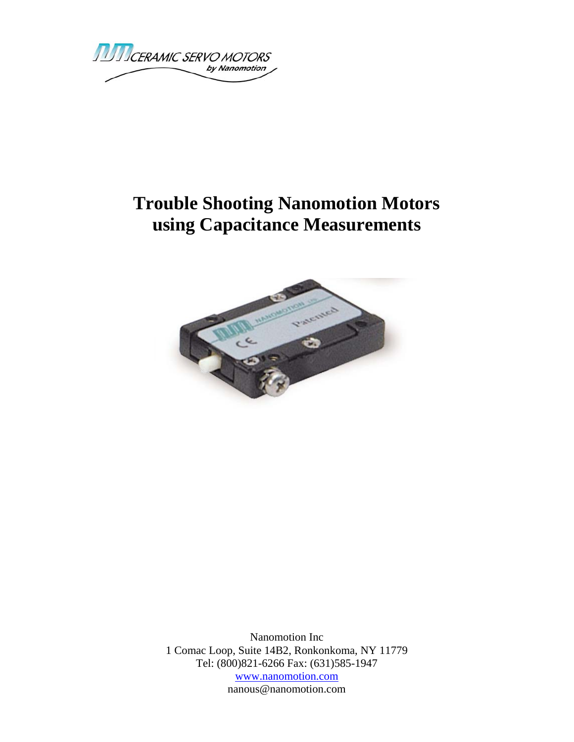**TUTICERAMIC SERVO MOTORS** by Nanomotion

## **Trouble Shooting Nanomotion Motors using Capacitance Measurements**



Nanomotion Inc 1 Comac Loop, Suite 14B2, Ronkonkoma, NY 11779 Tel: (800)821-6266 Fax: (631)585-1947 www.nanomotion.com nanous@nanomotion.com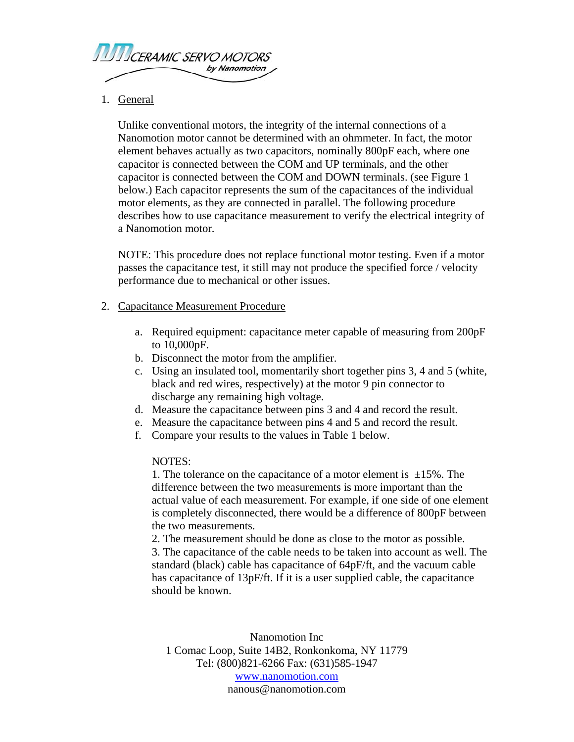

## 1. General

Unlike conventional motors, the integrity of the internal connections of a Nanomotion motor cannot be determined with an ohmmeter. In fact, the motor element behaves actually as two capacitors, nominally 800pF each, where one capacitor is connected between the COM and UP terminals, and the other capacitor is connected between the COM and DOWN terminals. (see Figure 1 below.) Each capacitor represents the sum of the capacitances of the individual motor elements, as they are connected in parallel. The following procedure describes how to use capacitance measurement to verify the electrical integrity of a Nanomotion motor.

NOTE: This procedure does not replace functional motor testing. Even if a motor passes the capacitance test, it still may not produce the specified force / velocity performance due to mechanical or other issues.

## 2. Capacitance Measurement Procedure

- a. Required equipment: capacitance meter capable of measuring from 200pF to 10,000pF.
- b. Disconnect the motor from the amplifier.
- c. Using an insulated tool, momentarily short together pins 3, 4 and 5 (white, black and red wires, respectively) at the motor 9 pin connector to discharge any remaining high voltage.
- d. Measure the capacitance between pins 3 and 4 and record the result.
- e. Measure the capacitance between pins 4 and 5 and record the result.
- f. Compare your results to the values in Table 1 below.

## NOTES:

1. The tolerance on the capacitance of a motor element is  $\pm 15\%$ . The difference between the two measurements is more important than the actual value of each measurement. For example, if one side of one element is completely disconnected, there would be a difference of 800pF between the two measurements.

2. The measurement should be done as close to the motor as possible. 3. The capacitance of the cable needs to be taken into account as well. The standard (black) cable has capacitance of 64pF/ft, and the vacuum cable has capacitance of 13pF/ft. If it is a user supplied cable, the capacitance should be known.

Nanomotion Inc 1 Comac Loop, Suite 14B2, Ronkonkoma, NY 11779 Tel: (800)821-6266 Fax: (631)585-1947 www.nanomotion.com nanous@nanomotion.com